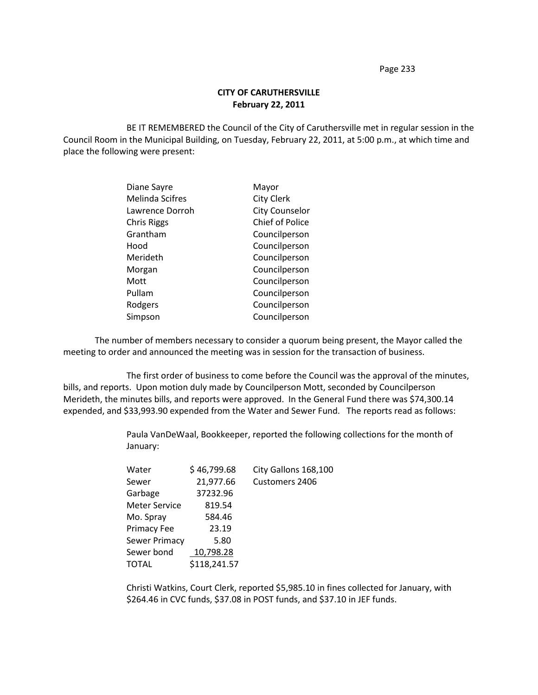Page 233

## **CITY OF CARUTHERSVILLE February 22, 2011**

BE IT REMEMBERED the Council of the City of Caruthersville met in regular session in the Council Room in the Municipal Building, on Tuesday, February 22, 2011, at 5:00 p.m., at which time and place the following were present:

| Diane Sayre            | Mayor                  |
|------------------------|------------------------|
| <b>Melinda Scifres</b> | <b>City Clerk</b>      |
| Lawrence Dorroh        | <b>City Counselor</b>  |
| <b>Chris Riggs</b>     | <b>Chief of Police</b> |
| Grantham               | Councilperson          |
| Hood                   | Councilperson          |
| Merideth               | Councilperson          |
| Morgan                 | Councilperson          |
| Mott                   | Councilperson          |
| Pullam                 | Councilperson          |
| Rodgers                | Councilperson          |
| Simpson                | Councilperson          |

The number of members necessary to consider a quorum being present, the Mayor called the meeting to order and announced the meeting was in session for the transaction of business.

The first order of business to come before the Council was the approval of the minutes, bills, and reports. Upon motion duly made by Councilperson Mott, seconded by Councilperson Merideth, the minutes bills, and reports were approved. In the General Fund there was \$74,300.14 expended, and \$33,993.90 expended from the Water and Sewer Fund. The reports read as follows:

> Paula VanDeWaal, Bookkeeper, reported the following collections for the month of January:

| Water                | \$46,799.68  | City Gallons 168,100 |
|----------------------|--------------|----------------------|
| Sewer                | 21,977.66    | Customers 2406       |
| Garbage              | 37232.96     |                      |
| <b>Meter Service</b> | 819.54       |                      |
| Mo. Spray            | 584.46       |                      |
| Primacy Fee          | 23.19        |                      |
| Sewer Primacy        | 5.80         |                      |
| Sewer bond           | 10,798.28    |                      |
| TOTAL                | \$118,241.57 |                      |

Christi Watkins, Court Clerk, reported \$5,985.10 in fines collected for January, with \$264.46 in CVC funds, \$37.08 in POST funds, and \$37.10 in JEF funds.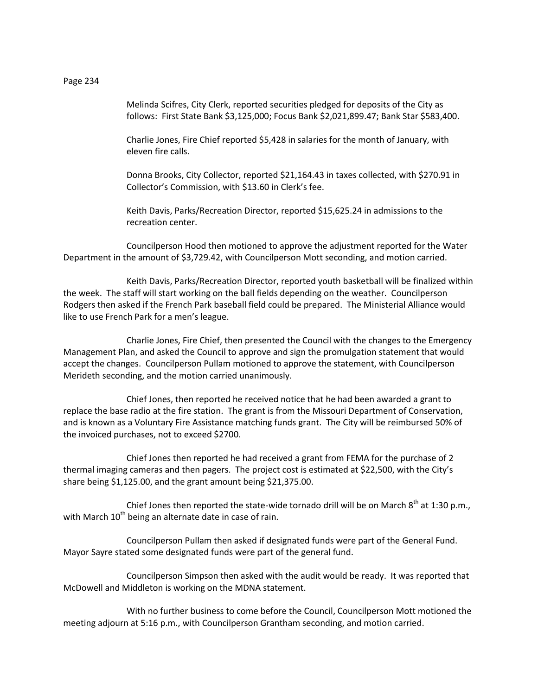Melinda Scifres, City Clerk, reported securities pledged for deposits of the City as follows: First State Bank \$3,125,000; Focus Bank \$2,021,899.47; Bank Star \$583,400.

Charlie Jones, Fire Chief reported \$5,428 in salaries for the month of January, with eleven fire calls.

Donna Brooks, City Collector, reported \$21,164.43 in taxes collected, with \$270.91 in Collector's Commission, with \$13.60 in Clerk's fee.

Keith Davis, Parks/Recreation Director, reported \$15,625.24 in admissions to the recreation center.

Councilperson Hood then motioned to approve the adjustment reported for the Water Department in the amount of \$3,729.42, with Councilperson Mott seconding, and motion carried.

Keith Davis, Parks/Recreation Director, reported youth basketball will be finalized within the week. The staff will start working on the ball fields depending on the weather. Councilperson Rodgers then asked if the French Park baseball field could be prepared. The Ministerial Alliance would like to use French Park for a men's league.

Charlie Jones, Fire Chief, then presented the Council with the changes to the Emergency Management Plan, and asked the Council to approve and sign the promulgation statement that would accept the changes. Councilperson Pullam motioned to approve the statement, with Councilperson Merideth seconding, and the motion carried unanimously.

Chief Jones, then reported he received notice that he had been awarded a grant to replace the base radio at the fire station. The grant is from the Missouri Department of Conservation, and is known as a Voluntary Fire Assistance matching funds grant. The City will be reimbursed 50% of the invoiced purchases, not to exceed \$2700.

Chief Jones then reported he had received a grant from FEMA for the purchase of 2 thermal imaging cameras and then pagers. The project cost is estimated at \$22,500, with the City's share being \$1,125.00, and the grant amount being \$21,375.00.

Chief Jones then reported the state-wide tornado drill will be on March  $8^{th}$  at 1:30 p.m., with March  $10<sup>th</sup>$  being an alternate date in case of rain.

Councilperson Pullam then asked if designated funds were part of the General Fund. Mayor Sayre stated some designated funds were part of the general fund.

Councilperson Simpson then asked with the audit would be ready. It was reported that McDowell and Middleton is working on the MDNA statement.

With no further business to come before the Council, Councilperson Mott motioned the meeting adjourn at 5:16 p.m., with Councilperson Grantham seconding, and motion carried.

Page 234